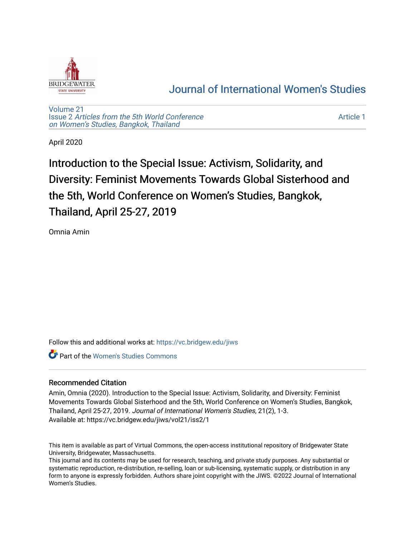

## [Journal of International Women's Studies](https://vc.bridgew.edu/jiws)

[Volume 21](https://vc.bridgew.edu/jiws/vol21) Issue 2 [Articles from the 5th World Conference](https://vc.bridgew.edu/jiws/vol21/iss2) [on Women's Studies, Bangkok, Thailand](https://vc.bridgew.edu/jiws/vol21/iss2) 

[Article 1](https://vc.bridgew.edu/jiws/vol21/iss2/1) 

April 2020

Introduction to the Special Issue: Activism, Solidarity, and Diversity: Feminist Movements Towards Global Sisterhood and the 5th, World Conference on Women's Studies, Bangkok, Thailand, April 25-27, 2019

Omnia Amin

Follow this and additional works at: [https://vc.bridgew.edu/jiws](https://vc.bridgew.edu/jiws?utm_source=vc.bridgew.edu%2Fjiws%2Fvol21%2Fiss2%2F1&utm_medium=PDF&utm_campaign=PDFCoverPages)

Part of the [Women's Studies Commons](http://network.bepress.com/hgg/discipline/561?utm_source=vc.bridgew.edu%2Fjiws%2Fvol21%2Fiss2%2F1&utm_medium=PDF&utm_campaign=PDFCoverPages) 

## Recommended Citation

Amin, Omnia (2020). Introduction to the Special Issue: Activism, Solidarity, and Diversity: Feminist Movements Towards Global Sisterhood and the 5th, World Conference on Women's Studies, Bangkok, Thailand, April 25-27, 2019. Journal of International Women's Studies, 21(2), 1-3. Available at: https://vc.bridgew.edu/jiws/vol21/iss2/1

This item is available as part of Virtual Commons, the open-access institutional repository of Bridgewater State University, Bridgewater, Massachusetts.

This journal and its contents may be used for research, teaching, and private study purposes. Any substantial or systematic reproduction, re-distribution, re-selling, loan or sub-licensing, systematic supply, or distribution in any form to anyone is expressly forbidden. Authors share joint copyright with the JIWS. ©2022 Journal of International Women's Studies.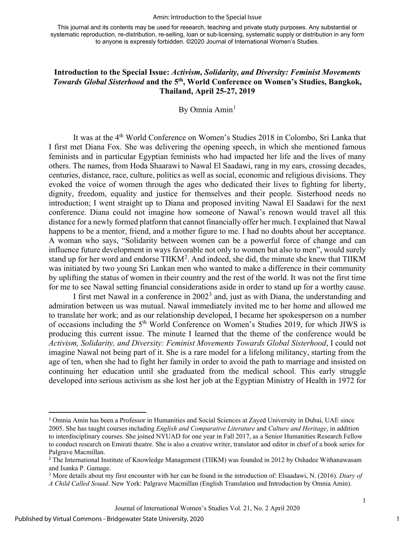## Amin: Introduction to the Special Issue

This journal and its contents may be used for research, teaching and private study purposes. Any substantial or systematic reproduction, re-distribution, re-selling, loan or sub-licensing, systematic supply or distribution in any form to anyone is expressly forbidden. ©2020 Journal of International Women's Studies.

## **Introduction to the Special Issue:** *Activism, Solidarity, and Diversity: Feminist Movements Towards Global Sisterhood* **and the 5th, World Conference on Women's Studies, Bangkok, Thailand, April 25-27, 2019**

By Omnia Amin<sup>[1](#page-1-0)</sup>

It was at the 4<sup>th</sup> World Conference on Women's Studies 2018 in Colombo, Sri Lanka that I first met Diana Fox. She was delivering the opening speech, in which she mentioned famous feminists and in particular Egyptian feminists who had impacted her life and the lives of many others. The names, from Hoda Shaarawi to Nawal El Saadawi, rang in my ears, crossing decades, centuries, distance, race, culture, politics as well as social, economic and religious divisions. They evoked the voice of women through the ages who dedicated their lives to fighting for liberty, dignity, freedom, equality and justice for themselves and their people. Sisterhood needs no introduction; I went straight up to Diana and proposed inviting Nawal El Saadawi for the next conference. Diana could not imagine how someone of Nawal's renown would travel all this distance for a newly formed platform that cannot financially offer her much. I explained that Nawal happens to be a mentor, friend, and a mother figure to me. I had no doubts about her acceptance. A woman who says, "Solidarity between women can be a powerful force of change and can influence future development in ways favorable not only to women but also to men", would surely stand up for her word and endorse  $TIIKM<sup>2</sup>$  $TIIKM<sup>2</sup>$  $TIIKM<sup>2</sup>$ . And indeed, she did, the minute she knew that TIIKM was initiated by two young Sri Lankan men who wanted to make a difference in their community by uplifting the status of women in their country and the rest of the world. It was not the first time for me to see Nawal setting financial considerations aside in order to stand up for a worthy cause.

I first met Nawal in a conference in  $2002<sup>3</sup>$  $2002<sup>3</sup>$  $2002<sup>3</sup>$  and, just as with Diana, the understanding and admiration between us was mutual. Nawal immediately invited me to her home and allowed me to translate her work; and as our relationship developed, I became her spokesperson on a number of occasions including the 5<sup>th</sup> World Conference on Women's Studies 2019, for which JIWS is producing this current issue. The minute I learned that the theme of the conference would be *Activism, Solidarity, and Diversity: Feminist Movements Towards Global Sisterhood*, I could not imagine Nawal not being part of it. She is a rare model for a lifelong militancy, starting from the age of ten, when she had to fight her family in order to avoid the path to marriage and insisted on continuing her education until she graduated from the medical school. This early struggle developed into serious activism as she lost her job at the Egyptian Ministry of Health in 1972 for

1

1

<span id="page-1-0"></span><sup>1</sup> Omnia Amin has been a Professor in Humanities and Social Sciences at Zayed University in Dubai, UAE since 2005. She has taught courses including *English and Comparative Literature* and *Culture and Heritage*, in addition to interdisciplinary courses. She joined NYUAD for one year in Fall 2017, as a Senior Humanities Research Fellow to conduct research on Emirati theatre. She is also a creative writer, translator and editor in chief of a book series for Palgrave Macmillan.

<span id="page-1-1"></span><sup>&</sup>lt;sup>2</sup> The International Institute of Knowledge Management (TIIKM) was founded in 2012 by Oshadee Withanawasam and Isanka P. Gamage.<br><sup>3</sup> More details about my first encounter with her can be found in the introduction of: Elsaadawi, N. (2016). *Diary of* 

<span id="page-1-2"></span>*A Child Called Souad*. New York: Palgrave Macmillan (English Translation and Introduction by Omnia Amin).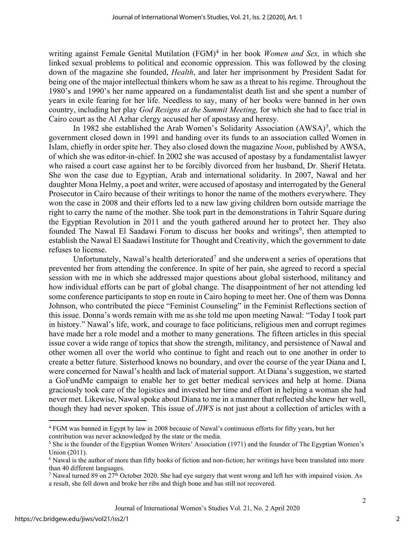writing against Female Genital Mutilation (FGM)<sup>[4](#page-2-0)</sup> in her book *Women and Sex*, in which she linked sexual problems to political and economic oppression. This was followed by the closing down of the magazine she founded, *Health*, and later her imprisonment by President Sadat for being one of the major intellectual thinkers whom he saw as a threat to his regime. Throughout the 1980's and 1990's her name appeared on a fundamentalist death list and she spent a number of years in exile fearing for her life. Needless to say, many of her books were banned in her own country, including her play *God Resigns at the Summit Meeting,* for which she had to face trial in Cairo court as the Al Azhar clergy accused her of apostasy and heresy.

In 1982 she established the Arab Women's Solidarity Association  $(AWSA)^5$  $(AWSA)^5$ , which the government closed down in 1991 and handing over its funds to an association called Women in Islam, chiefly in order spite her. They also closed down the magazine *Noon*, published by AWSA, of which she was editor-in-chief. In 2002 she was accused of apostasy by a fundamentalist lawyer who raised a court case against her to be forcibly divorced from her husband, Dr. Sherif Hetata. She won the case due to Egyptian, Arab and international solidarity. In 2007, Nawal and her daughter Mona Helmy, a poet and writer, were accused of apostasy and interrogated by the General Prosecutor in Cairo because of their writings to honor the name of the mothers everywhere. They won the case in 2008 and their efforts led to a new law giving children born outside marriage the right to carry the name of the mother. She took part in the demonstrations in Tahrir Square during the Egyptian Revolution in 2011 and the youth gathered around her to protect her. They also founded The Nawal El Saadawi Forum to discuss her books and writings<sup>[6](#page-2-2)</sup>, then attempted to establish the Nawal El Saadawi Institute for Thought and Creativity, which the government to date refuses to license.

Unfortunately, Nawal's health deteriorated<sup>[7](#page-2-3)</sup> and she underwent a series of operations that prevented her from attending the conference. In spite of her pain, she agreed to record a special session with me in which she addressed major questions about global sisterhood, militancy and how individual efforts can be part of global change. The disappointment of her not attending led some conference participants to stop en route in Cairo hoping to meet her. One of them was Donna Johnson, who contributed the piece "Feminist Counseling" in the Feminist Reflections section of this issue. Donna's words remain with me as she told me upon meeting Nawal: "Today I took part in history." Nawal's life, work, and courage to face politicians, religious men and corrupt regimes have made her a role model and a mother to many generations. The fifteen articles in this special issue cover a wide range of topics that show the strength, militancy, and persistence of Nawal and other women all over the world who continue to fight and reach out to one another in order to create a better future. Sisterhood knows no boundary, and over the course of the year Diana and I, were concerned for Nawal's health and lack of material support. At Diana's suggestion, we started a GoFundMe campaign to enable her to get better medical services and help at home. Diana graciously took care of the logistics and invested her time and effort in helping a woman she had never met. Likewise, Nawal spoke about Diana to me in a manner that reflected she knew her well, though they had never spoken. This issue of *JIWS* is not just about a collection of articles with a

2

<span id="page-2-0"></span><sup>4</sup> FGM was banned in Egypt by law in 2008 because of Nawal's continuous efforts for fifty years, but her contribution was never acknowledged by the state or the media.

<span id="page-2-1"></span><sup>5</sup> She is the founder of the Egyptian Women Writers' Association (1971) and the founder of The Egyptian Women's Union (2011).<br><sup>6</sup> Nawal is the author of more than fifty books of fiction and non-fiction; her writings have been translated into more

<span id="page-2-2"></span>than 40 different languages.

<span id="page-2-3"></span><sup>&</sup>lt;sup>7</sup> Nawal turned 89 on  $27<sup>th</sup>$  October 2020. She had eye surgery that went wrong and left her with impaired vision. As a result, she fell down and broke her ribs and thigh bone and has still not recovered.